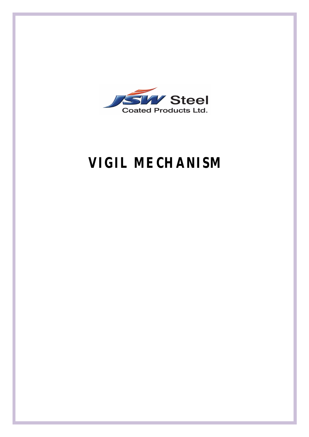

# **VIGIL MECHANISM**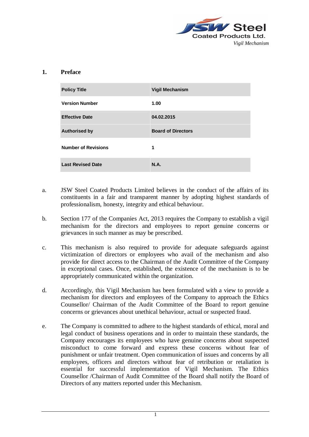

#### **1. Preface**

| <b>Policy Title</b>        | <b>Vigil Mechanism</b>    |
|----------------------------|---------------------------|
| <b>Version Number</b>      | 1.00                      |
| <b>Effective Date</b>      | 04.02.2015                |
| <b>Authorised by</b>       | <b>Board of Directors</b> |
| <b>Number of Revisions</b> | 1                         |
| <b>Last Revised Date</b>   | <b>N.A.</b>               |

- a. JSW Steel Coated Products Limited believes in the conduct of the affairs of its constituents in a fair and transparent manner by adopting highest standards of professionalism, honesty, integrity and ethical behaviour.
- b. Section 177 of the Companies Act, 2013 requires the Company to establish a vigil mechanism for the directors and employees to report genuine concerns or grievances in such manner as may be prescribed.
- c. This mechanism is also required to provide for adequate safeguards against victimization of directors or employees who avail of the mechanism and also provide for direct access to the Chairman of the Audit Committee of the Company in exceptional cases. Once, established, the existence of the mechanism is to be appropriately communicated within the organization.
- d. Accordingly, this Vigil Mechanism has been formulated with a view to provide a mechanism for directors and employees of the Company to approach the Ethics Counsellor/ Chairman of the Audit Committee of the Board to report genuine concerns or grievances about unethical behaviour, actual or suspected fraud.
- e. The Company is committed to adhere to the highest standards of ethical, moral and legal conduct of business operations and in order to maintain these standards, the Company encourages its employees who have genuine concerns about suspected misconduct to come forward and express these concerns without fear of punishment or unfair treatment. Open communication of issues and concerns by all employees, officers and directors without fear of retribution or retaliation is essential for successful implementation of Vigil Mechanism. The Ethics Counsellor /Chairman of Audit Committee of the Board shall notify the Board of Directors of any matters reported under this Mechanism.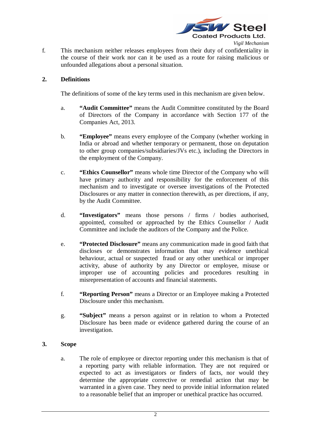

f. This mechanism neither releases employees from their duty of confidentiality in the course of their work nor can it be used as a route for raising malicious or unfounded allegations about a personal situation.

# **2. Definitions**

The definitions of some of the key terms used in this mechanism are given below.

- a. **"Audit Committee"** means the Audit Committee constituted by the Board of Directors of the Company in accordance with Section 177 of the Companies Act, 2013.
- b. **"Employee"** means every employee of the Company (whether working in India or abroad and whether temporary or permanent, those on deputation to other group companies/subsidiaries/JVs etc.), including the Directors in the employment of the Company.
- c. **"Ethics Counsellor"** means whole time Director of the Company who will have primary authority and responsibility for the enforcement of this mechanism and to investigate or oversee investigations of the Protected Disclosures or any matter in connection therewith, as per directions, if any, by the Audit Committee.
- d. **"Investigators"** means those persons / firms / bodies authorised, appointed, consulted or approached by the Ethics Counsellor / Audit Committee and include the auditors of the Company and the Police.
- e. **"Protected Disclosure"** means any communication made in good faith that discloses or demonstrates information that may evidence unethical behaviour, actual or suspected fraud or any other unethical or improper activity, abuse of authority by any Director or employee, misuse or improper use of accounting policies and procedures resulting in misrepresentation of accounts and financial statements.
- f. **"Reporting Person"** means a Director or an Employee making a Protected Disclosure under this mechanism.
- g. **"Subject"** means a person against or in relation to whom a Protected Disclosure has been made or evidence gathered during the course of an investigation.

# **3. Scope**

a. The role of employee or director reporting under this mechanism is that of a reporting party with reliable information. They are not required or expected to act as investigators or finders of facts, nor would they determine the appropriate corrective or remedial action that may be warranted in a given case. They need to provide initial information related to a reasonable belief that an improper or unethical practice has occurred.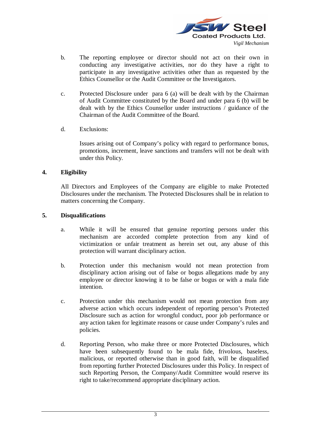

- b. The reporting employee or director should not act on their own in conducting any investigative activities, nor do they have a right to participate in any investigative activities other than as requested by the Ethics Counsellor or the Audit Committee or the Investigators.
- c. Protected Disclosure under para 6 (a) will be dealt with by the Chairman of Audit Committee constituted by the Board and under para 6 (b) will be dealt with by the Ethics Counsellor under instructions / guidance of the Chairman of the Audit Committee of the Board.
- d. Exclusions:

Issues arising out of Company's policy with regard to performance bonus, promotions, increment, leave sanctions and transfers will not be dealt with under this Policy.

# **4. Eligibility**

All Directors and Employees of the Company are eligible to make Protected Disclosures under the mechanism. The Protected Disclosures shall be in relation to matters concerning the Company.

# **5. Disqualifications**

- a. While it will be ensured that genuine reporting persons under this mechanism are accorded complete protection from any kind of victimization or unfair treatment as herein set out, any abuse of this protection will warrant disciplinary action.
- b. Protection under this mechanism would not mean protection from disciplinary action arising out of false or bogus allegations made by any employee or director knowing it to be false or bogus or with a mala fide intention.
- c. Protection under this mechanism would not mean protection from any adverse action which occurs independent of reporting person's Protected Disclosure such as action for wrongful conduct, poor job performance or any action taken for legitimate reasons or cause under Company's rules and policies.
- d. Reporting Person, who make three or more Protected Disclosures, which have been subsequently found to be mala fide, frivolous, baseless, malicious, or reported otherwise than in good faith, will be disqualified from reporting further Protected Disclosures under this Policy. In respect of such Reporting Person, the Company/Audit Committee would reserve its right to take/recommend appropriate disciplinary action.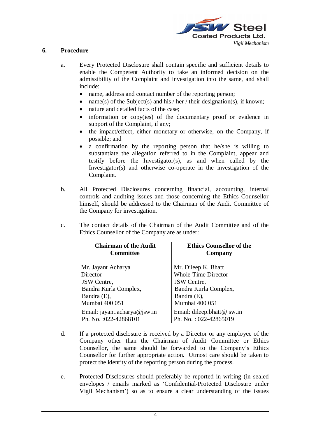

## **6. Procedure**

- a. Every Protected Disclosure shall contain specific and sufficient details to enable the Competent Authority to take an informed decision on the admissibility of the Complaint and investigation into the same, and shall include:
	- name, address and contact number of the reporting person;
	- name(s) of the Subject(s) and his / her / their designation(s), if known;
	- nature and detailed facts of the case;
	- information or copy(ies) of the documentary proof or evidence in support of the Complaint, if any;
	- the impact/effect, either monetary or otherwise, on the Company, if possible; and
	- a confirmation by the reporting person that he/she is willing to substantiate the allegation referred to in the Complaint, appear and testify before the Investigator(s), as and when called by the Investigator(s) and otherwise co-operate in the investigation of the Complaint.
- b. All Protected Disclosures concerning financial, accounting, internal controls and auditing issues and those concerning the Ethics Counsellor himself, should be addressed to the Chairman of the Audit Committee of the Company for investigation.
- c. The contact details of the Chairman of the Audit Committee and of the Ethics Counsellor of the Company are as under:

| <b>Chairman of the Audit</b><br><b>Committee</b> | <b>Ethics Counsellor of the</b><br>Company |
|--------------------------------------------------|--------------------------------------------|
| Mr. Jayant Acharya                               | Mr. Dileep K. Bhatt                        |
| Director                                         | <b>Whole-Time Director</b>                 |
| <b>JSW</b> Centre,                               | <b>JSW</b> Centre,                         |
| Bandra Kurla Complex,                            | Bandra Kurla Complex,                      |
| Bandra (E),                                      | Bandra (E),                                |
| Mumbai 400 051                                   | Mumbai 400 051                             |
| Email: jayant.acharya@jsw.in                     | Email: dileep.bhatt@jsw.in                 |
| Ph. No. : 022-42868101                           | Ph. No.: 022-42865019                      |

- d. If a protected disclosure is received by a Director or any employee of the Company other than the Chairman of Audit Committee or Ethics Counsellor, the same should be forwarded to the Company's Ethics Counsellor for further appropriate action. Utmost care should be taken to protect the identity of the reporting person during the process.
- e. Protected Disclosures should preferably be reported in writing (in sealed envelopes / emails marked as 'Confidential-Protected Disclosure under Vigil Mechanism') so as to ensure a clear understanding of the issues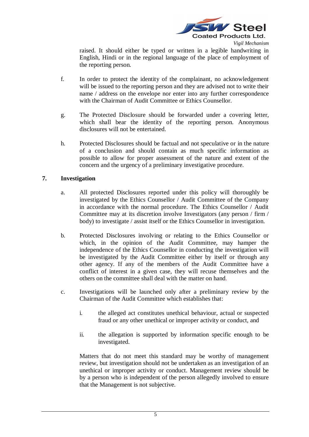

raised. It should either be typed or written in a legible handwriting in English, Hindi or in the regional language of the place of employment of the reporting person.

- f. In order to protect the identity of the complainant, no acknowledgement will be issued to the reporting person and they are advised not to write their name / address on the envelope nor enter into any further correspondence with the Chairman of Audit Committee or Ethics Counsellor.
- g. The Protected Disclosure should be forwarded under a covering letter, which shall bear the identity of the reporting person. Anonymous disclosures will not be entertained.
- h. Protected Disclosures should be factual and not speculative or in the nature of a conclusion and should contain as much specific information as possible to allow for proper assessment of the nature and extent of the concern and the urgency of a preliminary investigative procedure.

## **7. Investigation**

- a. All protected Disclosures reported under this policy will thoroughly be investigated by the Ethics Counsellor / Audit Committee of the Company in accordance with the normal procedure. The Ethics Counsellor / Audit Committee may at its discretion involve Investigators (any person / firm / body) to investigate / assist itself or the Ethics Counsellor in investigation.
- b. Protected Disclosures involving or relating to the Ethics Counsellor or which, in the opinion of the Audit Committee, may hamper the independence of the Ethics Counsellor in conducting the investigation will be investigated by the Audit Committee either by itself or through any other agency. If any of the members of the Audit Committee have a conflict of interest in a given case, they will recuse themselves and the others on the committee shall deal with the matter on hand.
- c. Investigations will be launched only after a preliminary review by the Chairman of the Audit Committee which establishes that:
	- i. the alleged act constitutes unethical behaviour, actual or suspected fraud or any other unethical or improper activity or conduct, and
	- ii. the allegation is supported by information specific enough to be investigated.

Matters that do not meet this standard may be worthy of management review, but investigation should not be undertaken as an investigation of an unethical or improper activity or conduct. Management review should be by a person who is independent of the person allegedly involved to ensure that the Management is not subjective.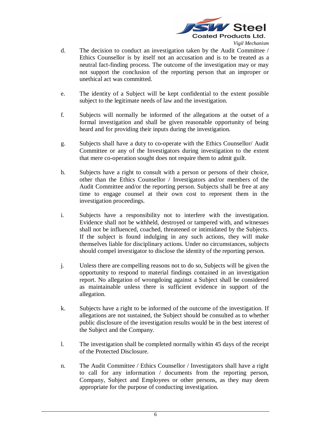

- d. The decision to conduct an investigation taken by the Audit Committee / Ethics Counsellor is by itself not an accusation and is to be treated as a neutral fact-finding process. The outcome of the investigation may or may not support the conclusion of the reporting person that an improper or unethical act was committed.
- e. The identity of a Subject will be kept confidential to the extent possible subject to the legitimate needs of law and the investigation.
- f. Subjects will normally be informed of the allegations at the outset of a formal investigation and shall be given reasonable opportunity of being heard and for providing their inputs during the investigation.
- g. Subjects shall have a duty to co-operate with the Ethics Counsellor/ Audit Committee or any of the Investigators during investigation to the extent that mere co-operation sought does not require them to admit guilt.
- h. Subjects have a right to consult with a person or persons of their choice, other than the Ethics Counsellor / Investigators and/or members of the Audit Committee and/or the reporting person. Subjects shall be free at any time to engage counsel at their own cost to represent them in the investigation proceedings.
- i. Subjects have a responsibility not to interfere with the investigation. Evidence shall not be withheld, destroyed or tampered with, and witnesses shall not be influenced, coached, threatened or intimidated by the Subjects. If the subject is found indulging in any such actions, they will make themselves liable for disciplinary actions. Under no circumstances, subjects should compel investigator to disclose the identity of the reporting person.
- j. Unless there are compelling reasons not to do so, Subjects will be given the opportunity to respond to material findings contained in an investigation report. No allegation of wrongdoing against a Subject shall be considered as maintainable unless there is sufficient evidence in support of the allegation.
- k. Subjects have a right to be informed of the outcome of the investigation. If allegations are not sustained, the Subject should be consulted as to whether public disclosure of the investigation results would be in the best interest of the Subject and the Company.
- l. The investigation shall be completed normally within 45 days of the receipt of the Protected Disclosure.
- n. The Audit Committee / Ethics Counsellor / Investigators shall have a right to call for any information / documents from the reporting person, Company, Subject and Employees or other persons, as they may deem appropriate for the purpose of conducting investigation.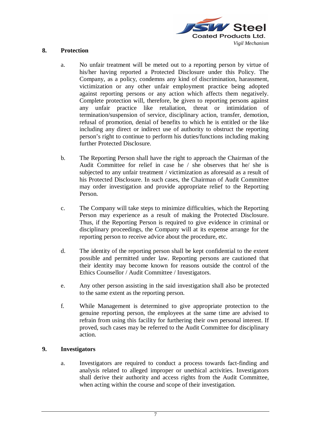

## **8. Protection**

- a. No unfair treatment will be meted out to a reporting person by virtue of his/her having reported a Protected Disclosure under this Policy. The Company, as a policy, condemns any kind of discrimination, harassment, victimization or any other unfair employment practice being adopted against reporting persons or any action which affects them negatively. Complete protection will, therefore, be given to reporting persons against any unfair practice like retaliation, threat or intimidation of termination/suspension of service, disciplinary action, transfer, demotion, refusal of promotion, denial of benefits to which he is entitled or the like including any direct or indirect use of authority to obstruct the reporting person's right to continue to perform his duties/functions including making further Protected Disclosure.
- b. The Reporting Person shall have the right to approach the Chairman of the Audit Committee for relief in case he / she observes that he/ she is subjected to any unfair treatment / victimization as aforesaid as a result of his Protected Disclosure. In such cases, the Chairman of Audit Committee may order investigation and provide appropriate relief to the Reporting Person.
- c. The Company will take steps to minimize difficulties, which the Reporting Person may experience as a result of making the Protected Disclosure. Thus, if the Reporting Person is required to give evidence in criminal or disciplinary proceedings, the Company will at its expense arrange for the reporting person to receive advice about the procedure, etc.
- d. The identity of the reporting person shall be kept confidential to the extent possible and permitted under law. Reporting persons are cautioned that their identity may become known for reasons outside the control of the Ethics Counsellor / Audit Committee / Investigators.
- e. Any other person assisting in the said investigation shall also be protected to the same extent as the reporting person.
- f. While Management is determined to give appropriate protection to the genuine reporting person, the employees at the same time are advised to refrain from using this facility for furthering their own personal interest. If proved, such cases may be referred to the Audit Committee for disciplinary action.

# **9. Investigators**

a. Investigators are required to conduct a process towards fact-finding and analysis related to alleged improper or unethical activities. Investigators shall derive their authority and access rights from the Audit Committee, when acting within the course and scope of their investigation.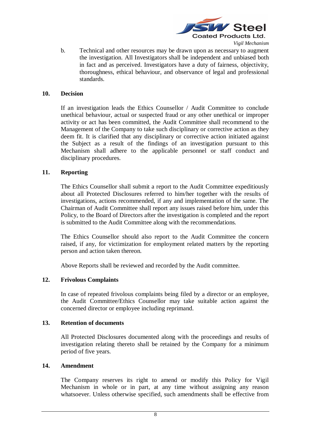

b. Technical and other resources may be drawn upon as necessary to augment the investigation. All Investigators shall be independent and unbiased both in fact and as perceived. Investigators have a duty of fairness, objectivity, thoroughness, ethical behaviour, and observance of legal and professional standards.

#### **10. Decision**

If an investigation leads the Ethics Counsellor / Audit Committee to conclude unethical behaviour, actual or suspected fraud or any other unethical or improper activity or act has been committed, the Audit Committee shall recommend to the Management of the Company to take such disciplinary or corrective action as they deem fit. It is clarified that any disciplinary or corrective action initiated against the Subject as a result of the findings of an investigation pursuant to this Mechanism shall adhere to the applicable personnel or staff conduct and disciplinary procedures.

## **11. Reporting**

The Ethics Counsellor shall submit a report to the Audit Committee expeditiously about all Protected Disclosures referred to him/her together with the results of investigations, actions recommended, if any and implementation of the same. The Chairman of Audit Committee shall report any issues raised before him, under this Policy, to the Board of Directors after the investigation is completed and the report is submitted to the Audit Committee along with the recommendations.

The Ethics Counsellor should also report to the Audit Committee the concern raised, if any, for victimization for employment related matters by the reporting person and action taken thereon.

Above Reports shall be reviewed and recorded by the Audit committee.

#### **12. Frivolous Complaints**

In case of repeated frivolous complaints being filed by a director or an employee, the Audit Committee/Ethics Counsellor may take suitable action against the concerned director or employee including reprimand.

#### **13. Retention of documents**

All Protected Disclosures documented along with the proceedings and results of investigation relating thereto shall be retained by the Company for a minimum period of five years.

#### **14. Amendment**

The Company reserves its right to amend or modify this Policy for Vigil Mechanism in whole or in part, at any time without assigning any reason whatsoever. Unless otherwise specified, such amendments shall be effective from